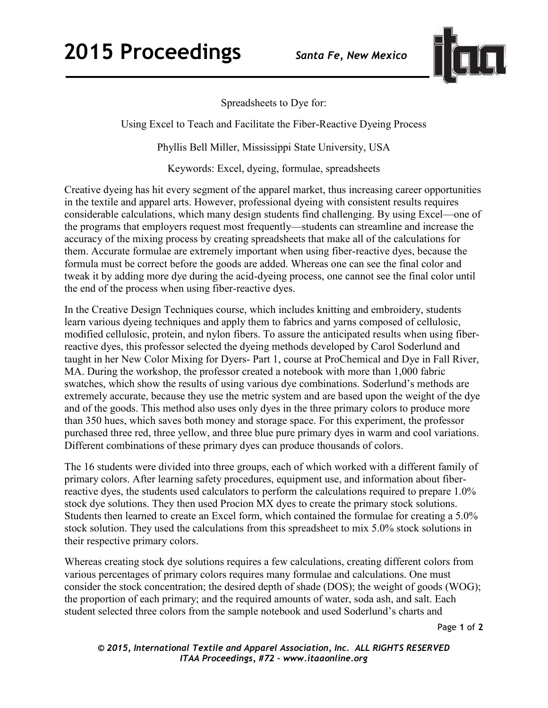

Spreadsheets to Dye for:

Using Excel to Teach and Facilitate the Fiber-Reactive Dyeing Process

Phyllis Bell Miller, Mississippi State University, USA

Keywords: Excel, dyeing, formulae, spreadsheets

Creative dyeing has hit every segment of the apparel market, thus increasing career opportunities in the textile and apparel arts. However, professional dyeing with consistent results requires considerable calculations, which many design students find challenging. By using Excel—one of the programs that employers request most frequently—students can streamline and increase the accuracy of the mixing process by creating spreadsheets that make all of the calculations for them. Accurate formulae are extremely important when using fiber-reactive dyes, because the formula must be correct before the goods are added. Whereas one can see the final color and tweak it by adding more dye during the acid-dyeing process, one cannot see the final color until the end of the process when using fiber-reactive dyes.

In the Creative Design Techniques course, which includes knitting and embroidery, students learn various dyeing techniques and apply them to fabrics and yarns composed of cellulosic, modified cellulosic, protein, and nylon fibers. To assure the anticipated results when using fiberreactive dyes, this professor selected the dyeing methods developed by Carol Soderlund and taught in her New Color Mixing for Dyers- Part 1, course at ProChemical and Dye in Fall River, MA. During the workshop, the professor created a notebook with more than 1,000 fabric swatches, which show the results of using various dye combinations. Soderlund's methods are extremely accurate, because they use the metric system and are based upon the weight of the dye and of the goods. This method also uses only dyes in the three primary colors to produce more than 350 hues, which saves both money and storage space. For this experiment, the professor purchased three red, three yellow, and three blue pure primary dyes in warm and cool variations. Different combinations of these primary dyes can produce thousands of colors.

The 16 students were divided into three groups, each of which worked with a different family of primary colors. After learning safety procedures, equipment use, and information about fiberreactive dyes, the students used calculators to perform the calculations required to prepare 1.0% stock dye solutions. They then used Procion MX dyes to create the primary stock solutions. Students then learned to create an Excel form, which contained the formulae for creating a 5.0% stock solution. They used the calculations from this spreadsheet to mix 5.0% stock solutions in their respective primary colors.

Whereas creating stock dye solutions requires a few calculations, creating different colors from various percentages of primary colors requires many formulae and calculations. One must consider the stock concentration; the desired depth of shade (DOS); the weight of goods (WOG); the proportion of each primary; and the required amounts of water, soda ash, and salt. Each student selected three colors from the sample notebook and used Soderlund's charts and

Page **1** of **2** 

*© 2015, International Textile and Apparel Association, Inc. ALL RIGHTS RESERVED ITAA Proceedings, #72 – www.itaaonline.org*